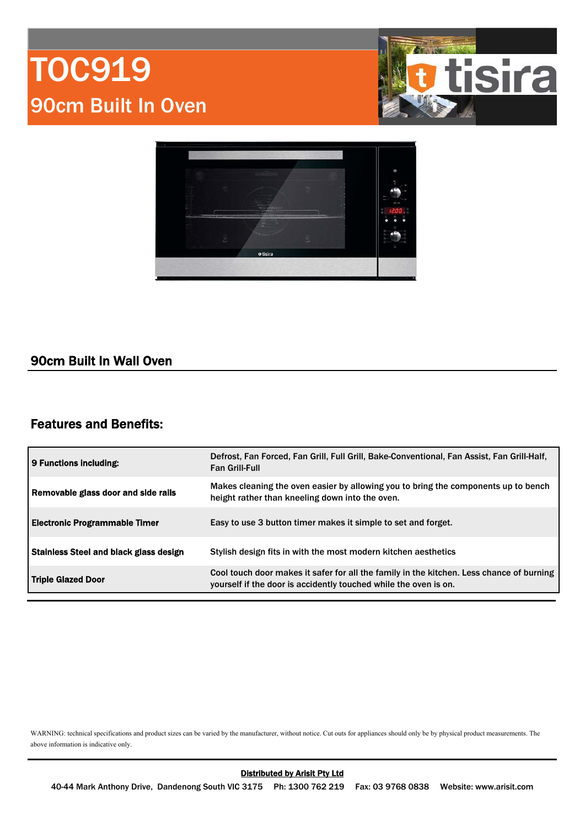# TOC919 90cm Built In Oven





### 90cm Built In Wall Oven

### Features and Benefits:

| 9 Functions including:                        | Defrost, Fan Forced, Fan Grill, Full Grill, Bake-Conventional, Fan Assist, Fan Grill-Half,<br><b>Fan Grill-Full</b>                                          |  |
|-----------------------------------------------|--------------------------------------------------------------------------------------------------------------------------------------------------------------|--|
| Removable glass door and side rails           | Makes cleaning the oven easier by allowing you to bring the components up to bench<br>height rather than kneeling down into the oven.                        |  |
| Electronic Programmable Timer                 | Easy to use 3 button timer makes it simple to set and forget.                                                                                                |  |
| <b>Stainless Steel and black glass design</b> | Stylish design fits in with the most modern kitchen aesthetics                                                                                               |  |
| Triple Glazed Door                            | Cool touch door makes it safer for all the family in the kitchen. Less chance of burning<br>yourself if the door is accidently touched while the oven is on. |  |

WARNING: technical specifications and product sizes can be varied by the manufacturer, without notice. Cut outs for appliances should only be by physical product measurements. The above information is indicative only.

40-44 Mark Anthony Drive, Dandenong South VIC 3175 Ph: 1300 762 219 Fax: 03 9768 0838 Website: www.arisit.com